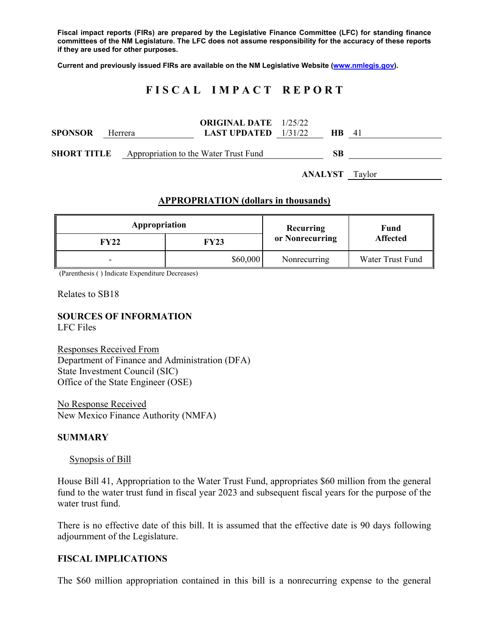**Fiscal impact reports (FIRs) are prepared by the Legislative Finance Committee (LFC) for standing finance committees of the NM Legislature. The LFC does not assume responsibility for the accuracy of these reports if they are used for other purposes.** 

**Current and previously issued FIRs are available on the NM Legislative Website (www.nmlegis.gov).** 

# **F I S C A L I M P A C T R E P O R T**

| <b>SPONSOR</b> | Herrera                                                  | <b>ORIGINAL DATE</b> 1/25/22<br><b>LAST UPDATED</b> $1/31/22$ |                       | <b>HB</b> 41 |  |
|----------------|----------------------------------------------------------|---------------------------------------------------------------|-----------------------|--------------|--|
|                | <b>SHORT TITLE</b> Appropriation to the Water Trust Fund |                                                               |                       | SB           |  |
|                |                                                          |                                                               | <b>ANALYST</b> Taylor |              |  |

#### **APPROPRIATION (dollars in thousands)**

| Appropriation |             | <b>Recurring</b> | Fund<br><b>Affected</b> |
|---------------|-------------|------------------|-------------------------|
| FY22          | <b>FY23</b> | or Nonrecurring  |                         |
| -             | \$60,000    | Nonrecurring     | Water Trust Fund        |

(Parenthesis ( ) Indicate Expenditure Decreases)

Relates to SB18

# **SOURCES OF INFORMATION**

LFC Files

Responses Received From Department of Finance and Administration (DFA) State Investment Council (SIC) Office of the State Engineer (OSE)

No Response Received New Mexico Finance Authority (NMFA)

#### **SUMMARY**

#### Synopsis of Bill

House Bill 41, Appropriation to the Water Trust Fund, appropriates \$60 million from the general fund to the water trust fund in fiscal year 2023 and subsequent fiscal years for the purpose of the water trust fund.

There is no effective date of this bill. It is assumed that the effective date is 90 days following adjournment of the Legislature.

#### **FISCAL IMPLICATIONS**

The \$60 million appropriation contained in this bill is a nonrecurring expense to the general